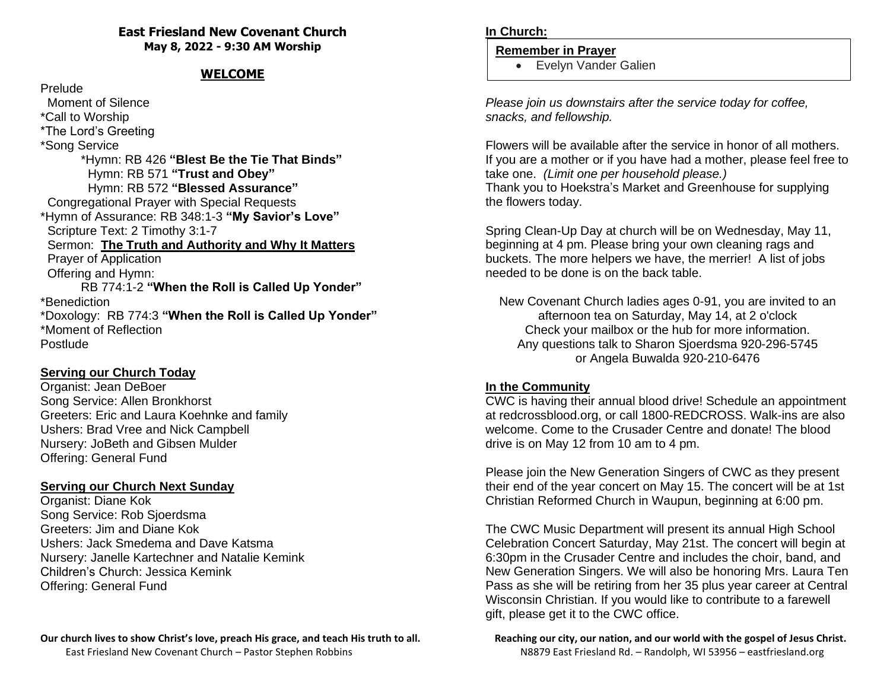#### **East Friesland New Covenant Church May 8, 2022 - 9:30 AM Worship**

### **WELCOME**

#### Prelude

 Moment of Silence \*Call to Worship \*The Lord's Greeting \*Song Service \*Hymn: RB 426 **"Blest Be the Tie That Binds"** Hymn: RB 571 **"Trust and Obey"** Hymn: RB 572 **"Blessed Assurance"** Congregational Prayer with Special Requests \*Hymn of Assurance: RB 348:1-3 **"My Savior's Love"** Scripture Text: 2 Timothy 3:1-7 Sermon: **The Truth and Authority and Why It Matters** Prayer of Application Offering and Hymn: RB 774:1-2 **"When the Roll is Called Up Yonder"** \*Benediction \*Doxology: RB 774:3 **"When the Roll is Called Up Yonder"** \*Moment of Reflection Postlude

#### **Serving our Church Today**

Organist: Jean DeBoer Song Service: Allen Bronkhorst Greeters: Eric and Laura Koehnke and family Ushers: Brad Vree and Nick Campbell Nursery: JoBeth and Gibsen Mulder Offering: General Fund

#### **Serving our Church Next Sunday**

Organist: Diane Kok Song Service: Rob Sjoerdsma Greeters: Jim and Diane Kok Ushers: Jack Smedema and Dave Katsma Nursery: Janelle Kartechner and Natalie Kemink Children's Church: Jessica Kemink Offering: General Fund

### **Our church lives to show Christ's love, preach His grace, and teach His truth to all. Reaching our city, our nation, and our world with the gospel of Jesus Christ.**

#### **In Church:**

#### **Remember in Prayer**

• Evelyn Vander Galien

*Please join us downstairs after the service today for coffee, snacks, and fellowship.*

Flowers will be available after the service in honor of all mothers. If you are a mother or if you have had a mother, please feel free to take one. *(Limit one per household please.)* Thank you to Hoekstra's Market and Greenhouse for supplying the flowers today.

Spring Clean-Up Day at church will be on Wednesday, May 11, beginning at 4 pm. Please bring your own cleaning rags and buckets. The more helpers we have, the merrier! A list of jobs needed to be done is on the back table.

New Covenant Church ladies ages 0-91, you are invited to an afternoon tea on Saturday, May 14, at 2 o'clock Check your mailbox or the hub for more information. Any questions talk to Sharon Sjoerdsma 920-296-5745 or Angela Buwalda 920-210-6476

#### **In the Community**

CWC is having their annual blood drive! Schedule an appointment at redcrossblood.org, or call 1800-REDCROSS. Walk-ins are also welcome. Come to the Crusader Centre and donate! The blood drive is on May 12 from 10 am to 4 pm.

Please join the New Generation Singers of CWC as they present their end of the year concert on May 15. The concert will be at 1st Christian Reformed Church in Waupun, beginning at 6:00 pm.

The CWC Music Department will present its annual High School Celebration Concert Saturday, May 21st. The concert will begin at 6:30pm in the Crusader Centre and includes the choir, band, and New Generation Singers. We will also be honoring Mrs. Laura Ten Pass as she will be retiring from her 35 plus year career at Central Wisconsin Christian. If you would like to contribute to a farewell gift, please get it to the CWC office.

# East Friesland New Covenant Church – Pastor Stephen Robbins N8879 East Friesland Rd. – Randolph, WI 53956 – eastfriesland.org